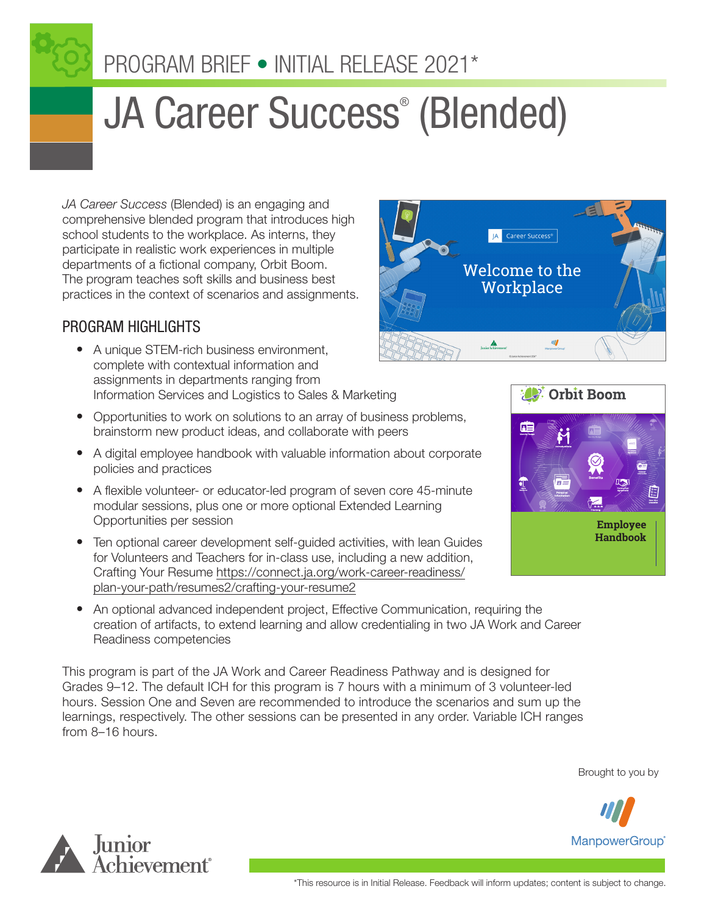

# JA Career Success® (Blended)

*JA Career Success* (Blended) is an engaging and comprehensive blended program that introduces high school students to the workplace. As interns, they participate in realistic work experiences in multiple departments of a fictional company, Orbit Boom. The program teaches soft skills and business best practices in the context of scenarios and assignments.

## PROGRAM HIGHLIGHTS

- A unique STEM-rich business environment, complete with contextual information and assignments in departments ranging from Information Services and Logistics to Sales & Marketing
- Opportunities to work on solutions to an array of business problems, brainstorm new product ideas, and collaborate with peers
- A digital employee handbook with valuable information about corporate policies and practices
- A flexible volunteer- or educator-led program of seven core 45-minute modular sessions, plus one or more optional Extended Learning Opportunities per session
- Ten optional career development self-guided activities, with lean Guides for Volunteers and Teachers for in-class use, including a new addition, Crafting Your Resume [https://connect.ja.org/work-career-readiness/](https://connect.ja.org/work-career-readiness/plan-your-path/resumes2/crafting-your-resume2) [plan-your-path/resumes2/crafting-your-resume2](https://connect.ja.org/work-career-readiness/plan-your-path/resumes2/crafting-your-resume2)
- An optional advanced independent project, Effective Communication, requiring the creation of artifacts, to extend learning and allow credentialing in two JA Work and Career Readiness competencies

This program is part of the JA Work and Career Readiness Pathway and is designed for Grades 9–12. The default ICH for this program is 7 hours with a minimum of 3 volunteer-led hours. Session One and Seven are recommended to introduce the scenarios and sum up the learnings, respectively. The other sessions can be presented in any order. Variable ICH ranges from 8–16 hours.











**Employee Handbook**